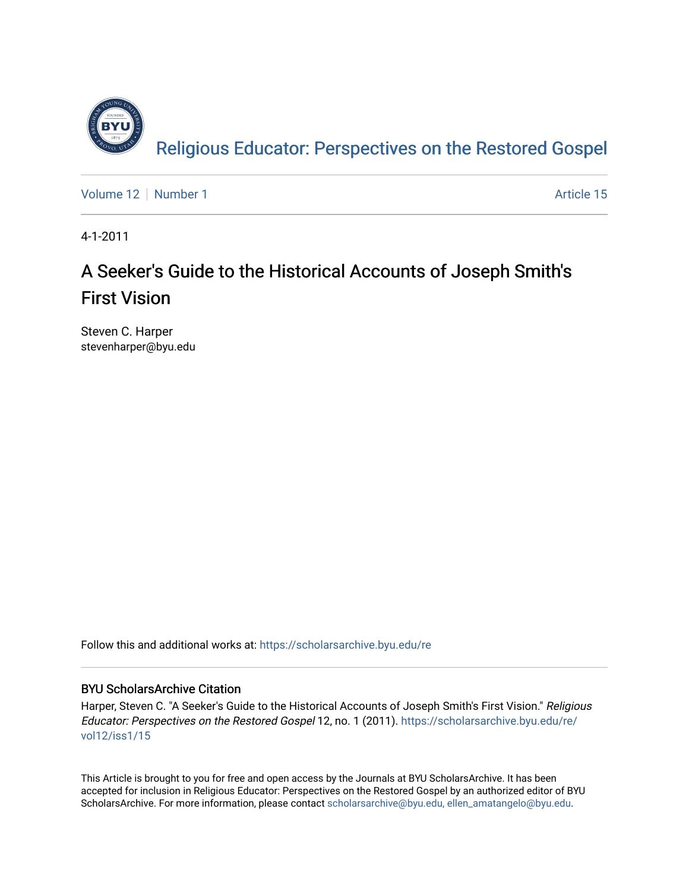

[Volume 12](https://scholarsarchive.byu.edu/re/vol12) [Number 1](https://scholarsarchive.byu.edu/re/vol12/iss1) Article 15

4-1-2011

## A Seeker's Guide to the Historical Accounts of Joseph Smith's First Vision

Steven C. Harper stevenharper@byu.edu

Follow this and additional works at: [https://scholarsarchive.byu.edu/re](https://scholarsarchive.byu.edu/re?utm_source=scholarsarchive.byu.edu%2Fre%2Fvol12%2Fiss1%2F15&utm_medium=PDF&utm_campaign=PDFCoverPages)

## BYU ScholarsArchive Citation

Harper, Steven C. "A Seeker's Guide to the Historical Accounts of Joseph Smith's First Vision." Religious Educator: Perspectives on the Restored Gospel 12, no. 1 (2011). [https://scholarsarchive.byu.edu/re/](https://scholarsarchive.byu.edu/re/vol12/iss1/15?utm_source=scholarsarchive.byu.edu%2Fre%2Fvol12%2Fiss1%2F15&utm_medium=PDF&utm_campaign=PDFCoverPages) [vol12/iss1/15](https://scholarsarchive.byu.edu/re/vol12/iss1/15?utm_source=scholarsarchive.byu.edu%2Fre%2Fvol12%2Fiss1%2F15&utm_medium=PDF&utm_campaign=PDFCoverPages) 

This Article is brought to you for free and open access by the Journals at BYU ScholarsArchive. It has been accepted for inclusion in Religious Educator: Perspectives on the Restored Gospel by an authorized editor of BYU ScholarsArchive. For more information, please contact [scholarsarchive@byu.edu, ellen\\_amatangelo@byu.edu.](mailto:scholarsarchive@byu.edu,%20ellen_amatangelo@byu.edu)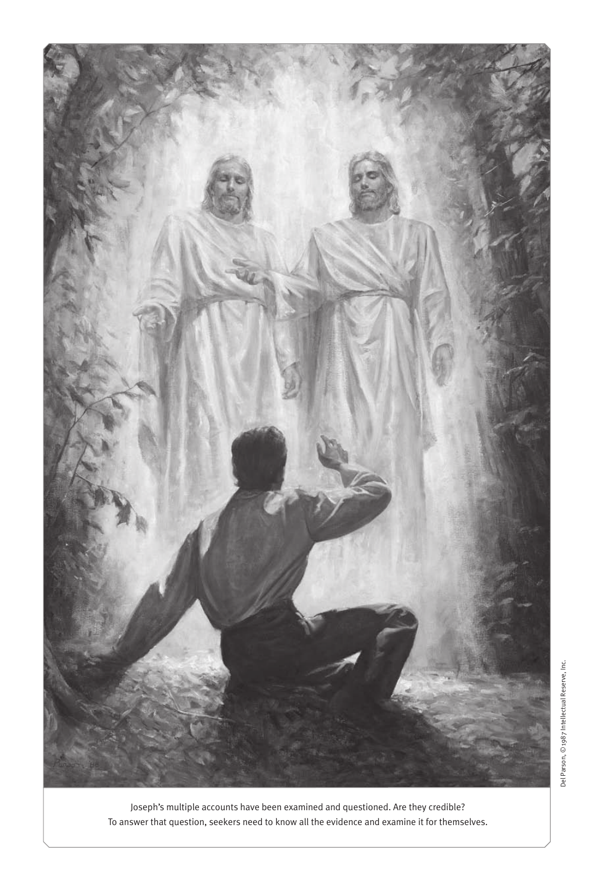

Joseph's multiple accounts have been examined and questioned. Are they credible? To answer that question, seekers need to know all the evidence and examine it for themselves.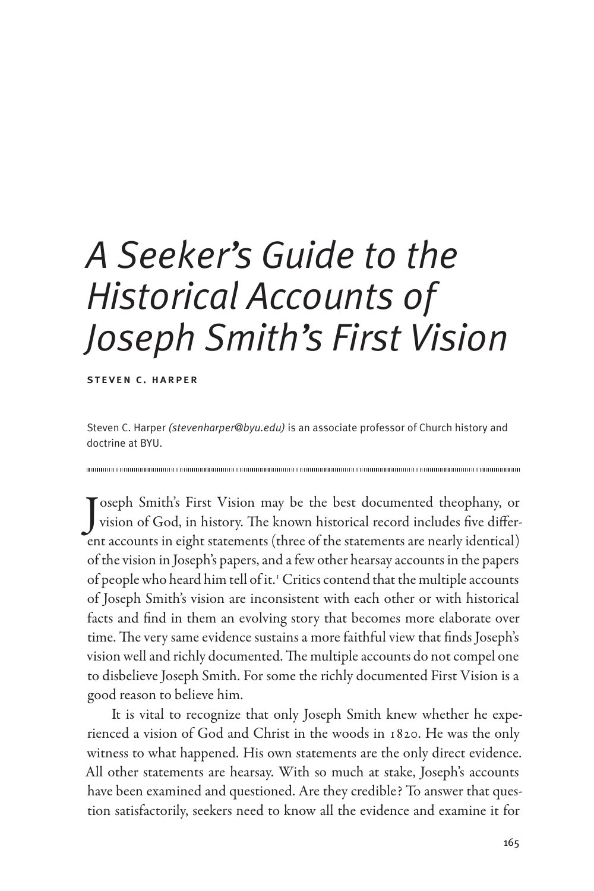## *A Seeker's Guide to the Historical Accounts of Joseph Smith's First Vision*

steven c. harper

Steven C. Harper *(stevenharper@byu.edu)* is an associate professor of Church history and doctrine at BYU.

Joseph Smith's First Vision may be the best documented theophany, or vision of God, in history. The known historical record includes five differoseph Smith's First Vision may be the best documented theophany, or ent accounts in eight statements (three of the statements are nearly identical) of the vision in Joseph's papers, and a few other hearsay accounts in the papers of people who heard him tell of it.<sup>1</sup> Critics contend that the multiple accounts of Joseph Smith's vision are inconsistent with each other or with historical facts and find in them an evolving story that becomes more elaborate over time. The very same evidence sustains a more faithful view that finds Joseph's vision well and richly documented. The multiple accounts do not compel one to disbelieve Joseph Smith. For some the richly documented First Vision is a good reason to believe him.

It is vital to recognize that only Joseph Smith knew whether he experienced a vision of God and Christ in the woods in 1820. He was the only witness to what happened. His own statements are the only direct evidence. All other statements are hearsay. With so much at stake, Joseph's accounts have been examined and questioned. Are they credible? To answer that question satisfactorily, seekers need to know all the evidence and examine it for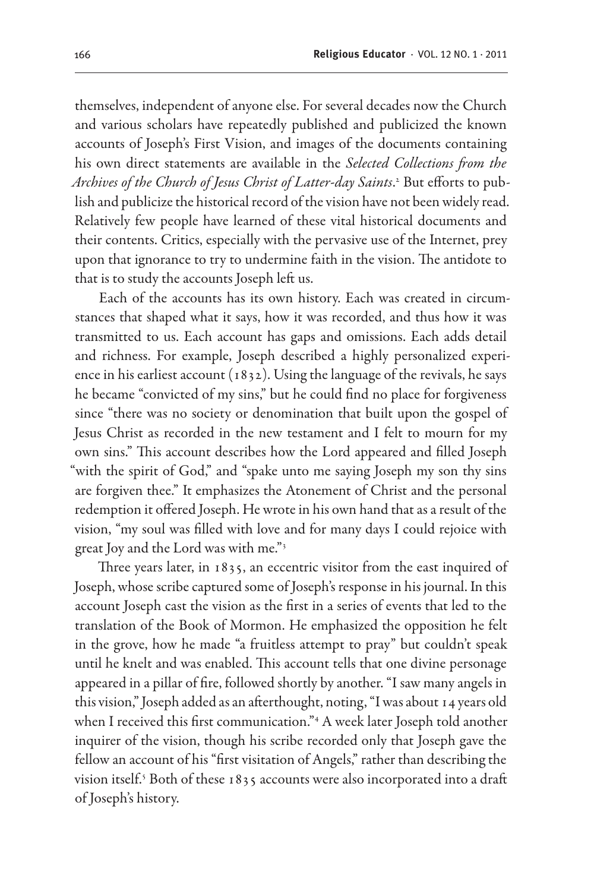themselves, independent of anyone else. For several decades now the Church and various scholars have repeatedly published and publicized the known accounts of Joseph's First Vision, and images of the documents containing his own direct statements are available in the *Selected Collections from the Archives of the Church of Jesus Christ of Latter-day Saints*. 2 But efforts to publish and publicize the historical record of the vision have not been widely read. Relatively few people have learned of these vital historical documents and their contents. Critics, especially with the pervasive use of the Internet, prey upon that ignorance to try to undermine faith in the vision. The antidote to that is to study the accounts Joseph left us.

Each of the accounts has its own history. Each was created in circumstances that shaped what it says, how it was recorded, and thus how it was transmitted to us. Each account has gaps and omissions. Each adds detail and richness. For example, Joseph described a highly personalized experience in his earliest account (1832). Using the language of the revivals, he says he became "convicted of my sins," but he could find no place for forgiveness since "there was no society or denomination that built upon the gospel of Jesus Christ as recorded in the new testament and I felt to mourn for my own sins." This account describes how the Lord appeared and filled Joseph "with the spirit of God," and "spake unto me saying Joseph my son thy sins are forgiven thee." It emphasizes the Atonement of Christ and the personal redemption it offered Joseph. He wrote in his own hand that as a result of the vision, "my soul was filled with love and for many days I could rejoice with great Joy and the Lord was with me."3

Three years later, in 1835, an eccentric visitor from the east inquired of Joseph, whose scribe captured some of Joseph's response in his journal. In this account Joseph cast the vision as the first in a series of events that led to the translation of the Book of Mormon. He emphasized the opposition he felt in the grove, how he made "a fruitless attempt to pray" but couldn't speak until he knelt and was enabled. This account tells that one divine personage appeared in a pillar of fire, followed shortly by another. "I saw many angels in this vision," Joseph added as an afterthought, noting, "I was about 14 years old when I received this first communication."<sup>4</sup> A week later Joseph told another inquirer of the vision, though his scribe recorded only that Joseph gave the fellow an account of his "first visitation of Angels," rather than describing the vision itself.<sup>5</sup> Both of these 1835 accounts were also incorporated into a draft of Joseph's history.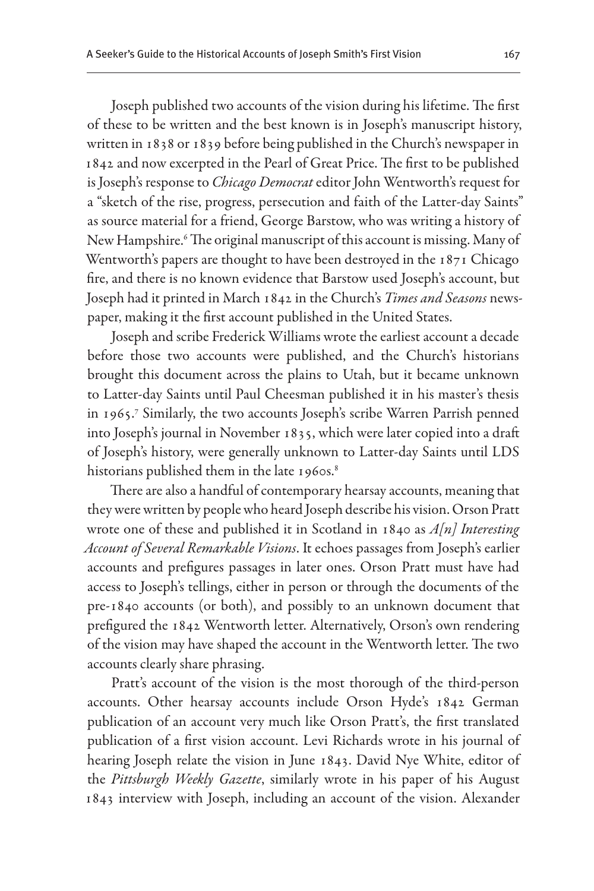Joseph published two accounts of the vision during his lifetime. The first of these to be written and the best known is in Joseph's manuscript history, written in 1838 or 1839 before being published in the Church's newspaper in 1842 and now excerpted in the Pearl of Great Price. The first to be published is Joseph's response to *Chicago Democrat* editor John Wentworth's request for a "sketch of the rise, progress, persecution and faith of the Latter-day Saints" as source material for a friend, George Barstow, who was writing a history of New Hampshire.<sup>6</sup> The original manuscript of this account is missing. Many of Wentworth's papers are thought to have been destroyed in the 1871 Chicago fire, and there is no known evidence that Barstow used Joseph's account, but Joseph had it printed in March 1842 in the Church's *Times and Seasons* newspaper, making it the first account published in the United States.

Joseph and scribe Frederick Williams wrote the earliest account a decade before those two accounts were published, and the Church's historians brought this document across the plains to Utah, but it became unknown to Latter-day Saints until Paul Cheesman published it in his master's thesis in 1965.7 Similarly, the two accounts Joseph's scribe Warren Parrish penned into Joseph's journal in November 1835, which were later copied into a draft of Joseph's history, were generally unknown to Latter-day Saints until LDS historians published them in the late 1960s.<sup>8</sup>

There are also a handful of contemporary hearsay accounts, meaning that they were written by people who heard Joseph describe his vision. Orson Pratt wrote one of these and published it in Scotland in 1840 as *A[n] Interesting Account of Several Remarkable Visions*. It echoes passages from Joseph's earlier accounts and prefigures passages in later ones. Orson Pratt must have had access to Joseph's tellings, either in person or through the documents of the pre-1840 accounts (or both), and possibly to an unknown document that prefigured the 1842 Wentworth letter. Alternatively, Orson's own rendering of the vision may have shaped the account in the Wentworth letter. The two accounts clearly share phrasing.

Pratt's account of the vision is the most thorough of the third-person accounts. Other hearsay accounts include Orson Hyde's 1842 German publication of an account very much like Orson Pratt's, the first translated publication of a first vision account. Levi Richards wrote in his journal of hearing Joseph relate the vision in June 1843. David Nye White, editor of the *Pittsburgh Weekly Gazette*, similarly wrote in his paper of his August 1843 interview with Joseph, including an account of the vision. Alexander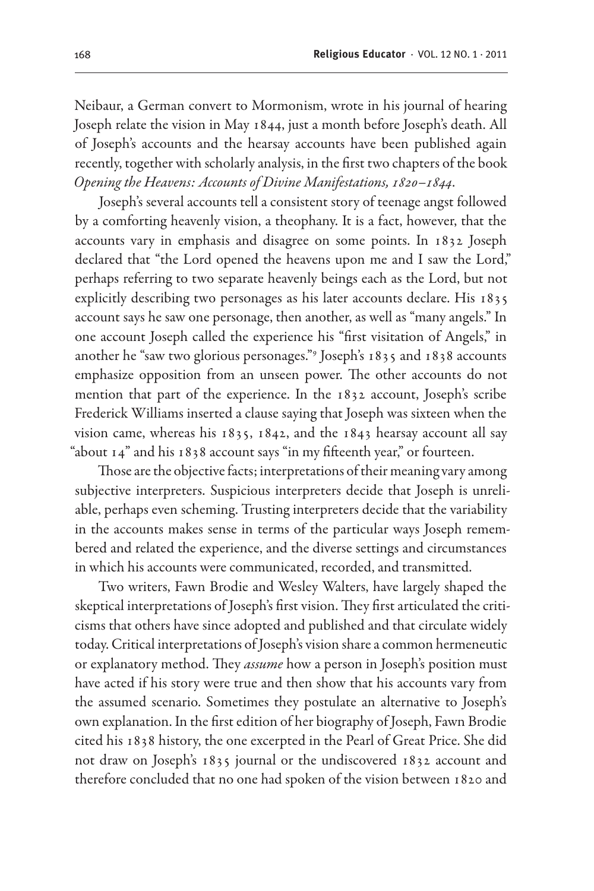Neibaur, a German convert to Mormonism, wrote in his journal of hearing Joseph relate the vision in May 1844, just a month before Joseph's death. All of Joseph's accounts and the hearsay accounts have been published again recently, together with scholarly analysis, in the first two chapters of the book *Opening the Heavens: Accounts of Divine Manifestations, 1820–1844*.

Joseph's several accounts tell a consistent story of teenage angst followed by a comforting heavenly vision, a theophany. It is a fact, however, that the accounts vary in emphasis and disagree on some points. In 1832 Joseph declared that "the Lord opened the heavens upon me and I saw the Lord," perhaps referring to two separate heavenly beings each as the Lord, but not explicitly describing two personages as his later accounts declare. His 1835 account says he saw one personage, then another, as well as "many angels." In one account Joseph called the experience his "first visitation of Angels," in another he "saw two glorious personages."9 Joseph's 1835 and 1838 accounts emphasize opposition from an unseen power. The other accounts do not mention that part of the experience. In the 1832 account, Joseph's scribe Frederick Williams inserted a clause saying that Joseph was sixteen when the vision came, whereas his 1835, 1842, and the 1843 hearsay account all say "about 14" and his 1838 account says "in my fifteenth year," or fourteen.

Those are the objective facts; interpretations of their meaning vary among subjective interpreters. Suspicious interpreters decide that Joseph is unreliable, perhaps even scheming. Trusting interpreters decide that the variability in the accounts makes sense in terms of the particular ways Joseph remembered and related the experience, and the diverse settings and circumstances in which his accounts were communicated, recorded, and transmitted.

Two writers, Fawn Brodie and Wesley Walters, have largely shaped the skeptical interpretations of Joseph's first vision. They first articulated the criticisms that others have since adopted and published and that circulate widely today. Critical interpretations of Joseph's vision share a common hermeneutic or explanatory method. They *assume* how a person in Joseph's position must have acted if his story were true and then show that his accounts vary from the assumed scenario. Sometimes they postulate an alternative to Joseph's own explanation. In the first edition of her biography of Joseph, Fawn Brodie cited his 1838 history, the one excerpted in the Pearl of Great Price. She did not draw on Joseph's 1835 journal or the undiscovered 1832 account and therefore concluded that no one had spoken of the vision between 1820 and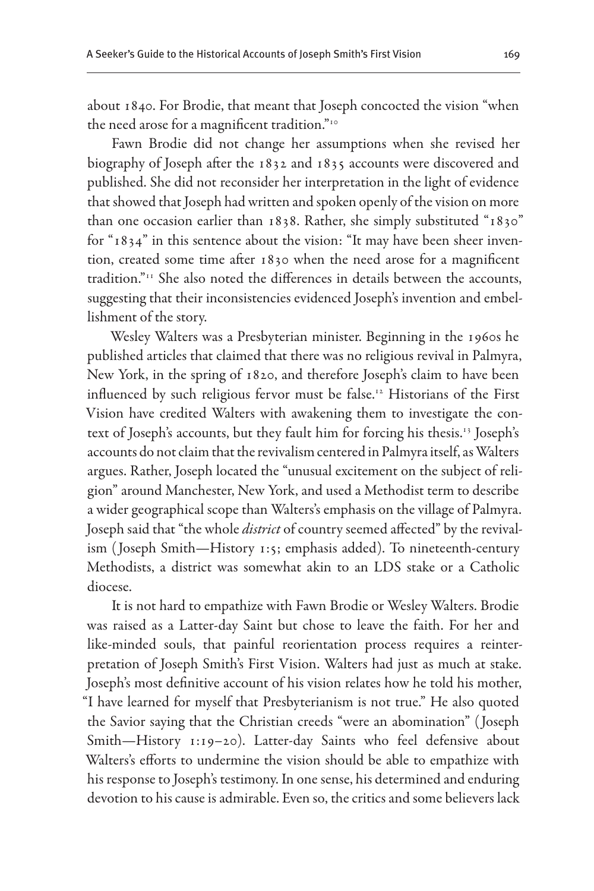about 1840. For Brodie, that meant that Joseph concocted the vision "when the need arose for a magnificent tradition."<sup>10</sup>

Fawn Brodie did not change her assumptions when she revised her biography of Joseph after the 1832 and 1835 accounts were discovered and published. She did not reconsider her interpretation in the light of evidence that showed that Joseph had written and spoken openly of the vision on more than one occasion earlier than 1838. Rather, she simply substituted "1830" for "1834" in this sentence about the vision: "It may have been sheer invention, created some time after 1830 when the need arose for a magnificent tradition."11 She also noted the differences in details between the accounts, suggesting that their inconsistencies evidenced Joseph's invention and embellishment of the story.

Wesley Walters was a Presbyterian minister. Beginning in the 1960s he published articles that claimed that there was no religious revival in Palmyra, New York, in the spring of 1820, and therefore Joseph's claim to have been influenced by such religious fervor must be false.12 Historians of the First Vision have credited Walters with awakening them to investigate the context of Joseph's accounts, but they fault him for forcing his thesis.13 Joseph's accounts do not claim that the revivalism centered in Palmyra itself, as Walters argues. Rather, Joseph located the "unusual excitement on the subject of religion" around Manchester, New York, and used a Methodist term to describe a wider geographical scope than Walters's emphasis on the village of Palmyra. Joseph said that "the whole *district* of country seemed affected" by the revivalism ( Joseph Smith—History 1:5; emphasis added). To nineteenth-century Methodists, a district was somewhat akin to an LDS stake or a Catholic diocese.

It is not hard to empathize with Fawn Brodie or Wesley Walters. Brodie was raised as a Latter-day Saint but chose to leave the faith. For her and like-minded souls, that painful reorientation process requires a reinterpretation of Joseph Smith's First Vision. Walters had just as much at stake. Joseph's most definitive account of his vision relates how he told his mother, "I have learned for myself that Presbyterianism is not true." He also quoted the Savior saying that the Christian creeds "were an abomination" ( Joseph Smith—History 1:19–20). Latter-day Saints who feel defensive about Walters's efforts to undermine the vision should be able to empathize with his response to Joseph's testimony. In one sense, his determined and enduring devotion to his cause is admirable. Even so, the critics and some believers lack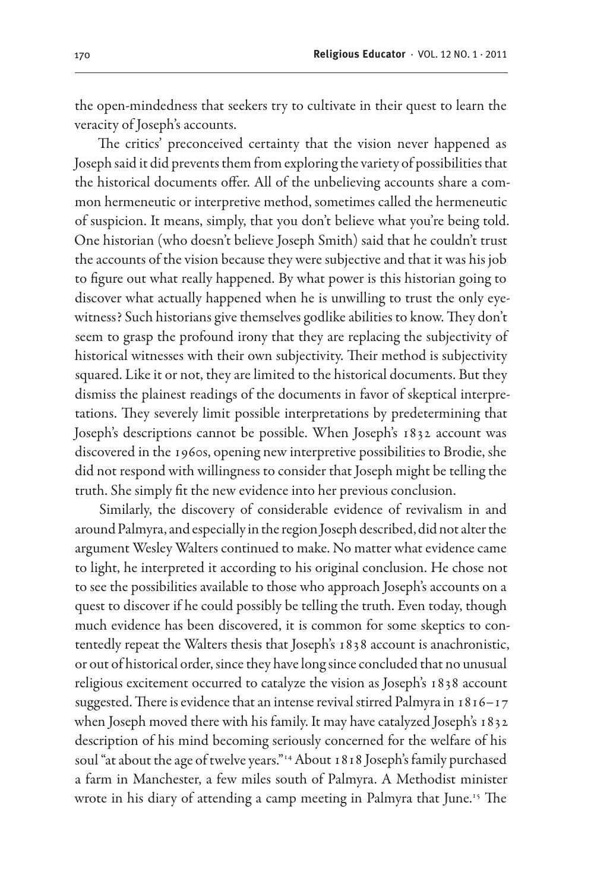the open-mindedness that seekers try to cultivate in their quest to learn the veracity of Joseph's accounts.

The critics' preconceived certainty that the vision never happened as Joseph said it did prevents them from exploring the variety of possibilities that the historical documents offer. All of the unbelieving accounts share a common hermeneutic or interpretive method, sometimes called the hermeneutic of suspicion. It means, simply, that you don't believe what you're being told. One historian (who doesn't believe Joseph Smith) said that he couldn't trust the accounts of the vision because they were subjective and that it was his job to figure out what really happened. By what power is this historian going to discover what actually happened when he is unwilling to trust the only eyewitness? Such historians give themselves godlike abilities to know. They don't seem to grasp the profound irony that they are replacing the subjectivity of historical witnesses with their own subjectivity. Their method is subjectivity squared. Like it or not, they are limited to the historical documents. But they dismiss the plainest readings of the documents in favor of skeptical interpretations. They severely limit possible interpretations by predetermining that Joseph's descriptions cannot be possible. When Joseph's 1832 account was discovered in the 1960s, opening new interpretive possibilities to Brodie, she did not respond with willingness to consider that Joseph might be telling the truth. She simply fit the new evidence into her previous conclusion.

Similarly, the discovery of considerable evidence of revivalism in and around Palmyra, and especially in the region Joseph described, did not alter the argument Wesley Walters continued to make. No matter what evidence came to light, he interpreted it according to his original conclusion. He chose not to see the possibilities available to those who approach Joseph's accounts on a quest to discover if he could possibly be telling the truth. Even today, though much evidence has been discovered, it is common for some skeptics to contentedly repeat the Walters thesis that Joseph's 1838 account is anachronistic, or out of historical order, since they have long since concluded that no unusual religious excitement occurred to catalyze the vision as Joseph's 1838 account suggested. There is evidence that an intense revival stirred Palmyra in  $1816 - 17$ when Joseph moved there with his family. It may have catalyzed Joseph's 1832 description of his mind becoming seriously concerned for the welfare of his soul "at about the age of twelve years."14 About 1818 Joseph's family purchased a farm in Manchester, a few miles south of Palmyra. A Methodist minister wrote in his diary of attending a camp meeting in Palmyra that June.<sup>15</sup> The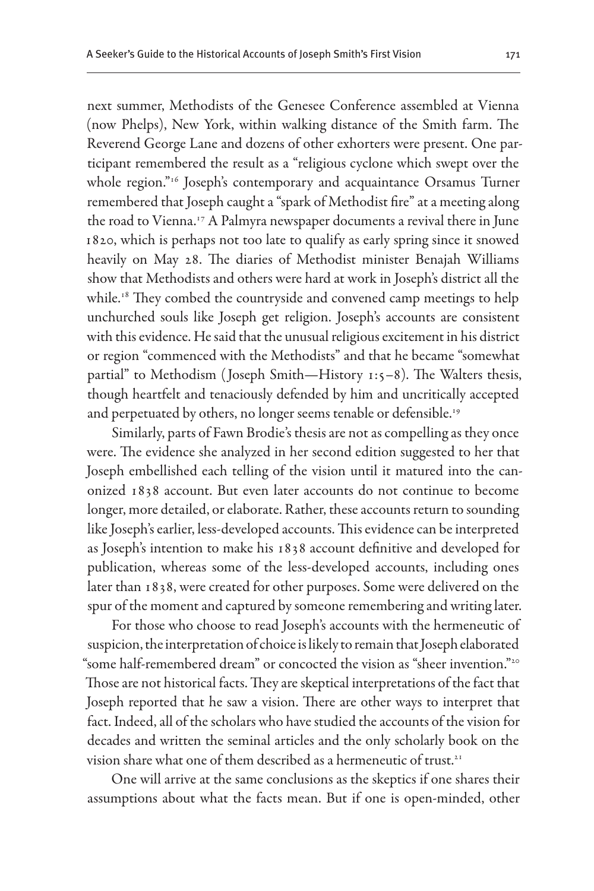next summer, Methodists of the Genesee Conference assembled at Vienna (now Phelps), New York, within walking distance of the Smith farm. The Reverend George Lane and dozens of other exhorters were present. One participant remembered the result as a "religious cyclone which swept over the whole region."<sup>16</sup> Joseph's contemporary and acquaintance Orsamus Turner remembered that Joseph caught a "spark of Methodist fire" at a meeting along the road to Vienna.<sup>17</sup> A Palmyra newspaper documents a revival there in June 1820, which is perhaps not too late to qualify as early spring since it snowed heavily on May 28. The diaries of Methodist minister Benajah Williams show that Methodists and others were hard at work in Joseph's district all the while.<sup>18</sup> They combed the countryside and convened camp meetings to help unchurched souls like Joseph get religion. Joseph's accounts are consistent with this evidence. He said that the unusual religious excitement in his district or region "commenced with the Methodists" and that he became "somewhat partial" to Methodism (Joseph Smith—History 1:5–8). The Walters thesis, though heartfelt and tenaciously defended by him and uncritically accepted and perpetuated by others, no longer seems tenable or defensible.<sup>19</sup>

Similarly, parts of Fawn Brodie's thesis are not as compelling as they once were. The evidence she analyzed in her second edition suggested to her that Joseph embellished each telling of the vision until it matured into the canonized 1838 account. But even later accounts do not continue to become longer, more detailed, or elaborate. Rather, these accounts return to sounding like Joseph's earlier, less-developed accounts. This evidence can be interpreted as Joseph's intention to make his 1838 account definitive and developed for publication, whereas some of the less-developed accounts, including ones later than 1838, were created for other purposes. Some were delivered on the spur of the moment and captured by someone remembering and writing later.

For those who choose to read Joseph's accounts with the hermeneutic of suspicion, the interpretation of choice is likely to remain that Joseph elaborated "some half-remembered dream" or concocted the vision as "sheer invention."20 Those are not historical facts. They are skeptical interpretations of the fact that Joseph reported that he saw a vision. There are other ways to interpret that fact. Indeed, all of the scholars who have studied the accounts of the vision for decades and written the seminal articles and the only scholarly book on the vision share what one of them described as a hermeneutic of trust.<sup>21</sup>

One will arrive at the same conclusions as the skeptics if one shares their assumptions about what the facts mean. But if one is open-minded, other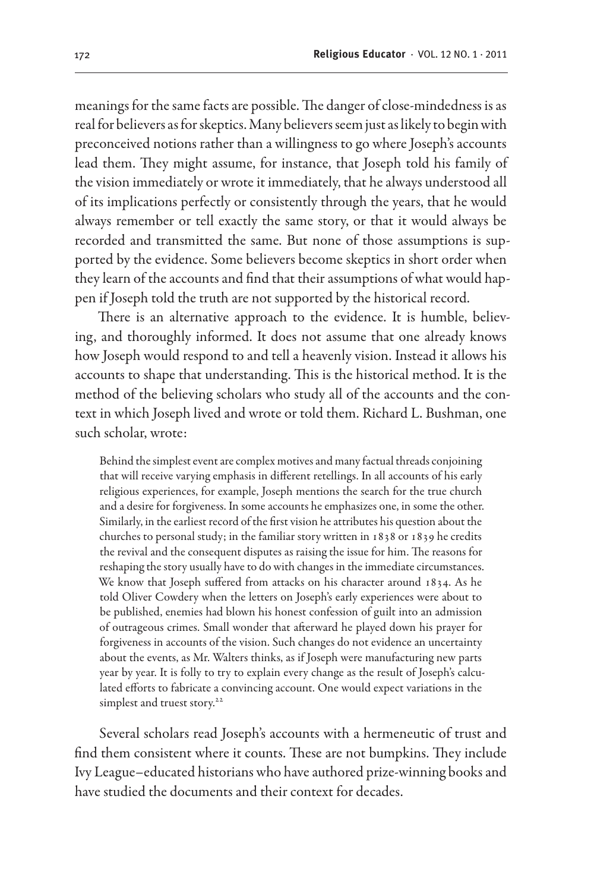meanings for the same facts are possible. The danger of close-mindedness is as real for believers as for skeptics. Many believers seem just as likely to begin with preconceived notions rather than a willingness to go where Joseph's accounts lead them. They might assume, for instance, that Joseph told his family of the vision immediately or wrote it immediately, that he always understood all of its implications perfectly or consistently through the years, that he would always remember or tell exactly the same story, or that it would always be recorded and transmitted the same. But none of those assumptions is supported by the evidence. Some believers become skeptics in short order when they learn of the accounts and find that their assumptions of what would happen if Joseph told the truth are not supported by the historical record.

There is an alternative approach to the evidence. It is humble, believing, and thoroughly informed. It does not assume that one already knows how Joseph would respond to and tell a heavenly vision. Instead it allows his accounts to shape that understanding. This is the historical method. It is the method of the believing scholars who study all of the accounts and the context in which Joseph lived and wrote or told them. Richard L. Bushman, one such scholar, wrote:

Behind the simplest event are complex motives and many factual threads conjoining that will receive varying emphasis in different retellings. In all accounts of his early religious experiences, for example, Joseph mentions the search for the true church and a desire for forgiveness. In some accounts he emphasizes one, in some the other. Similarly, in the earliest record of the first vision he attributes his question about the churches to personal study; in the familiar story written in 1838 or 1839 he credits the revival and the consequent disputes as raising the issue for him. The reasons for reshaping the story usually have to do with changes in the immediate circumstances. We know that Joseph suffered from attacks on his character around 1834. As he told Oliver Cowdery when the letters on Joseph's early experiences were about to be published, enemies had blown his honest confession of guilt into an admission of outrageous crimes. Small wonder that afterward he played down his prayer for forgiveness in accounts of the vision. Such changes do not evidence an uncertainty about the events, as Mr. Walters thinks, as if Joseph were manufacturing new parts year by year. It is folly to try to explain every change as the result of Joseph's calculated efforts to fabricate a convincing account. One would expect variations in the simplest and truest story.<sup>22</sup>

Several scholars read Joseph's accounts with a hermeneutic of trust and find them consistent where it counts. These are not bumpkins. They include Ivy League–educated historians who have authored prize-winning books and have studied the documents and their context for decades.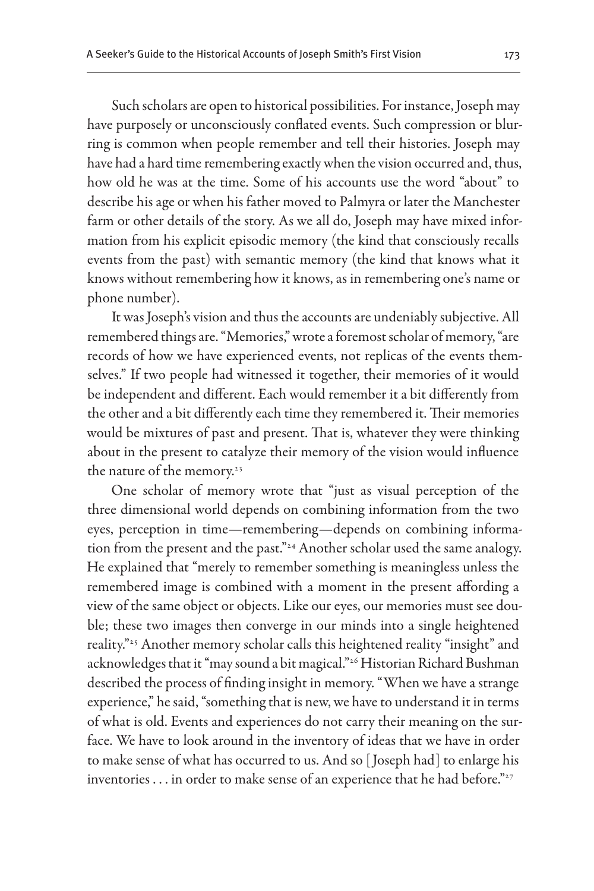Such scholars are open to historical possibilities. For instance, Joseph may have purposely or unconsciously conflated events. Such compression or blurring is common when people remember and tell their histories. Joseph may have had a hard time remembering exactly when the vision occurred and, thus, how old he was at the time. Some of his accounts use the word "about" to describe his age or when his father moved to Palmyra or later the Manchester farm or other details of the story. As we all do, Joseph may have mixed information from his explicit episodic memory (the kind that consciously recalls events from the past) with semantic memory (the kind that knows what it knows without remembering how it knows, as in remembering one's name or phone number).

It was Joseph's vision and thus the accounts are undeniably subjective. All remembered things are. "Memories," wrote a foremost scholar of memory, "are records of how we have experienced events, not replicas of the events themselves." If two people had witnessed it together, their memories of it would be independent and different. Each would remember it a bit differently from the other and a bit differently each time they remembered it. Their memories would be mixtures of past and present. That is, whatever they were thinking about in the present to catalyze their memory of the vision would influence the nature of the memory.<sup>23</sup>

One scholar of memory wrote that "just as visual perception of the three dimensional world depends on combining information from the two eyes, perception in time—remembering—depends on combining information from the present and the past."<sup>24</sup> Another scholar used the same analogy. He explained that "merely to remember something is meaningless unless the remembered image is combined with a moment in the present affording a view of the same object or objects. Like our eyes, our memories must see double; these two images then converge in our minds into a single heightened reality."25 Another memory scholar calls this heightened reality "insight" and acknowledges that it "may sound a bit magical."26 Historian Richard Bushman described the process of finding insight in memory. "When we have a strange experience," he said, "something that is new, we have to understand it in terms of what is old. Events and experiences do not carry their meaning on the surface. We have to look around in the inventory of ideas that we have in order to make sense of what has occurred to us. And so [ Joseph had] to enlarge his inventories . . . in order to make sense of an experience that he had before."<sup>27</sup>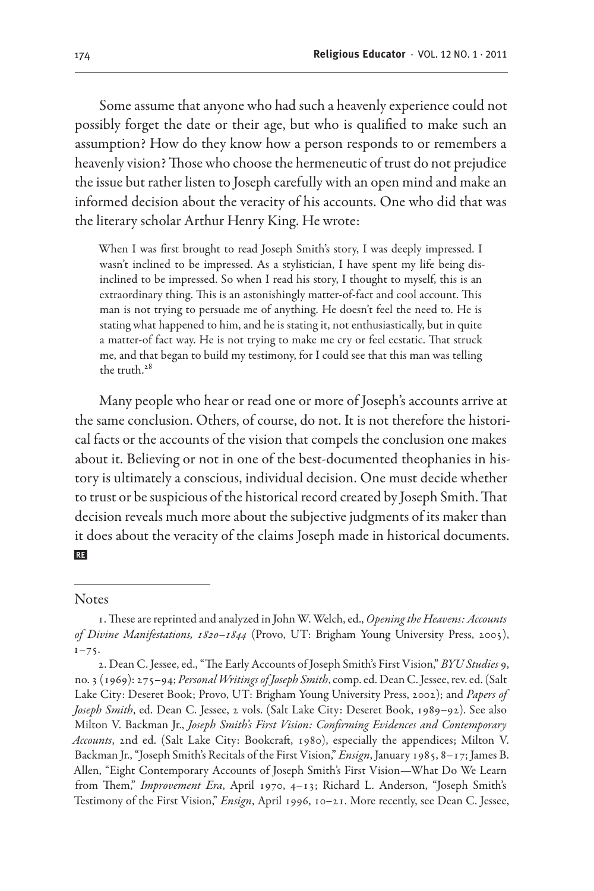Some assume that anyone who had such a heavenly experience could not possibly forget the date or their age, but who is qualified to make such an assumption? How do they know how a person responds to or remembers a heavenly vision? Those who choose the hermeneutic of trust do not prejudice the issue but rather listen to Joseph carefully with an open mind and make an informed decision about the veracity of his accounts. One who did that was the literary scholar Arthur Henry King. He wrote:

When I was first brought to read Joseph Smith's story, I was deeply impressed. I wasn't inclined to be impressed. As a stylistician, I have spent my life being disinclined to be impressed. So when I read his story, I thought to myself, this is an extraordinary thing. This is an astonishingly matter-of-fact and cool account. This man is not trying to persuade me of anything. He doesn't feel the need to. He is stating what happened to him, and he is stating it, not enthusiastically, but in quite a matter-of fact way. He is not trying to make me cry or feel ecstatic. That struck me, and that began to build my testimony, for I could see that this man was telling the truth.<sup>28</sup>

Many people who hear or read one or more of Joseph's accounts arrive at the same conclusion. Others, of course, do not. It is not therefore the historical facts or the accounts of the vision that compels the conclusion one makes about it. Believing or not in one of the best-documented theophanies in history is ultimately a conscious, individual decision. One must decide whether to trust or be suspicious of the historical record created by Joseph Smith. That decision reveals much more about the subjective judgments of its maker than it does about the veracity of the claims Joseph made in historical documents. RE

## **Notes**

<sup>1.</sup> These are reprinted and analyzed in John W. Welch, ed., *Opening the Heavens: Accounts of Divine Manifestations, 1820–1844* (Provo, UT: Brigham Young University Press, 2005),  $1 - 75$ .

<sup>2.</sup> Dean C. Jessee, ed., "The Early Accounts of Joseph Smith's First Vision," *BYU Studies* 9, no. 3 (1969): 275–94; *Personal Writings of Joseph Smith*, comp. ed. Dean C. Jessee, rev. ed. (Salt Lake City: Deseret Book; Provo, UT: Brigham Young University Press, 2002); and *Papers of Joseph Smith*, ed. Dean C. Jessee, 2 vols. (Salt Lake City: Deseret Book, 1989–92). See also Milton V. Backman Jr., *Joseph Smith's First Vision: Confirming Evidences and Contemporary Accounts*, 2nd ed. (Salt Lake City: Bookcraft, 1980), especially the appendices; Milton V. Backman Jr., "Joseph Smith's Recitals of the First Vision," *Ensign*, January 1985, 8–17; James B. Allen, "Eight Contemporary Accounts of Joseph Smith's First Vision—What Do We Learn from Them," *Improvement Era*, April 1970, 4–13; Richard L. Anderson, "Joseph Smith's Testimony of the First Vision," *Ensign*, April 1996, 10–21. More recently, see Dean C. Jessee,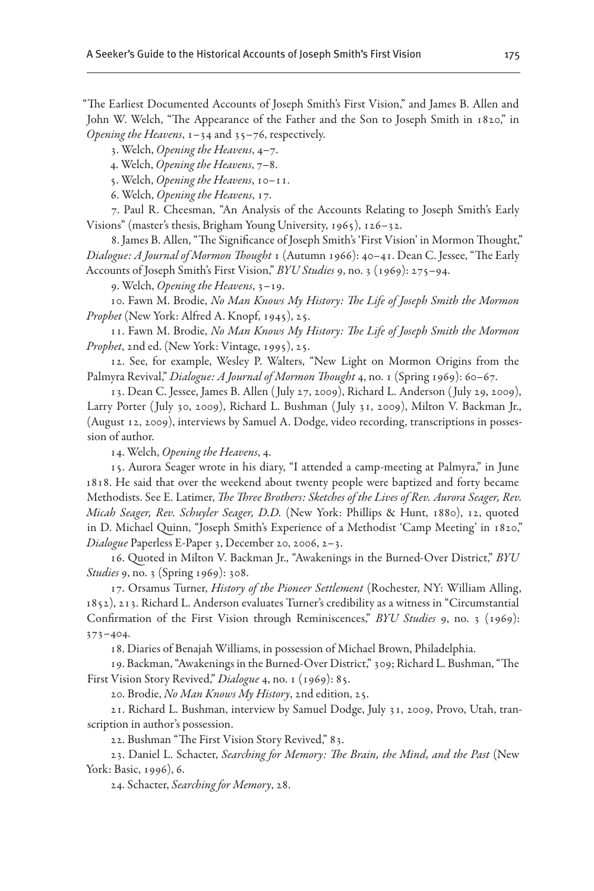"The Earliest Documented Accounts of Joseph Smith's First Vision," and James B. Allen and John W. Welch, "The Appearance of the Father and the Son to Joseph Smith in 1820," in *Opening the Heavens*, 1–34 and 35–76, respectively.

3. Welch, *Opening the Heavens*, 4–7.

4. Welch, *Opening the Heavens*, 7–8.

5. Welch, *Opening the Heavens*, 10–11.

6. Welch, *Opening the Heavens*, 17.

7. Paul R. Cheesman, "An Analysis of the Accounts Relating to Joseph Smith's Early Visions" (master's thesis, Brigham Young University, 1965), 126–32.

8. James B. Allen, "The Significance of Joseph Smith's 'First Vision' in Mormon Thought," *Dialogue: A Journal of Mormon Thought* 1 (Autumn 1966): 40–41. Dean C. Jessee, "The Early Accounts of Joseph Smith's First Vision," *BYU Studies* 9, no. 3 (1969): 275–94.

9. Welch, *Opening the Heavens*, 3–19.

10. Fawn M. Brodie, *No Man Knows My History: The Life of Joseph Smith the Mormon Prophet* (New York: Alfred A. Knopf, 1945), 25.

11. Fawn M. Brodie, *No Man Knows My History: The Life of Joseph Smith the Mormon Prophet*, 2nd ed. (New York: Vintage, 1995), 25.

12. See, for example, Wesley P. Walters, "New Light on Mormon Origins from the Palmyra Revival," *Dialogue: A Journal of Mormon Thought* 4, no. 1 (Spring 1969): 60–67.

13. Dean C. Jessee, James B. Allen ( July 27, 2009), Richard L. Anderson ( July 29, 2009), Larry Porter (July 30, 2009), Richard L. Bushman (July 31, 2009), Milton V. Backman Jr., (August 12, 2009), interviews by Samuel A. Dodge, video recording, transcriptions in possession of author.

14. Welch, *Opening the Heavens*, 4.

15. Aurora Seager wrote in his diary, "I attended a camp-meeting at Palmyra," in June 1818. He said that over the weekend about twenty people were baptized and forty became Methodists. See E. Latimer, *The Three Brothers: Sketches of the Lives of Rev. Aurora Seager, Rev. Micah Seager, Rev. Schuyler Seager, D.D.* (New York: Phillips & Hunt, 1880), 12, quoted in D. Michael Quinn, "Joseph Smith's Experience of a Methodist 'Camp Meeting' in 1820," *Dialogue* Paperless E-Paper 3, December 20, 2006, 2–3.

16. Quoted in Milton V. Backman Jr., "Awakenings in the Burned-Over District," *BYU Studies* 9, no. 3 (Spring 1969): 308.

17. Orsamus Turner, *History of the Pioneer Settlement* (Rochester, NY: William Alling, 1852), 213. Richard L. Anderson evaluates Turner's credibility as a witness in "Circumstantial Confirmation of the First Vision through Reminiscences," *BYU Studies* 9, no. 3 (1969): 373–404.

18. Diaries of Benajah Williams, in possession of Michael Brown, Philadelphia.

19. Backman, "Awakenings in the Burned-Over District," 309; Richard L. Bushman, "The First Vision Story Revived," *Dialogue* 4, no. 1 (1969): 85.

20. Brodie, *No Man Knows My History*, 2nd edition, 25.

21. Richard L. Bushman, interview by Samuel Dodge, July 31, 2009, Provo, Utah, transcription in author's possession.

22. Bushman "The First Vision Story Revived," 83.

23. Daniel L. Schacter, *Searching for Memory: The Brain, the Mind, and the Past* (New York: Basic, 1996), 6.

24. Schacter, *Searching for Memory*, 28.